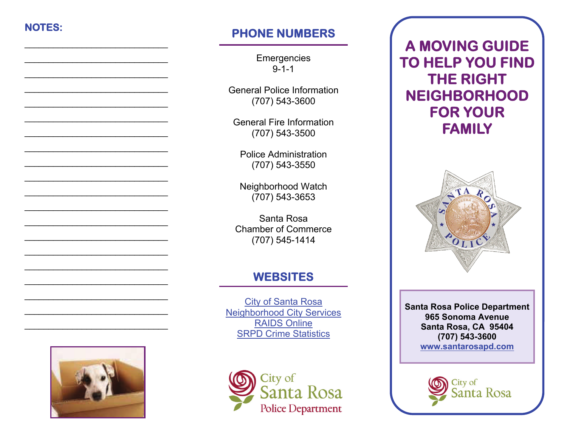## **NOTES:**

 $\overline{\phantom{a}}$  , and the contract of the contract of the contract of the contract of the contract of the contract of the contract of the contract of the contract of the contract of the contract of the contract of the contrac

 $\overline{\phantom{a}}$  , and the contract of the contract of the contract of the contract of the contract of the contract of the contract of the contract of the contract of the contract of the contract of the contract of the contrac

 $\overline{\phantom{a}}$  , and the contract of the contract of the contract of the contract of the contract of the contract of the contract of the contract of the contract of the contract of the contract of the contract of the contrac

 $\overline{\phantom{a}}$  , and the contract of the contract of the contract of the contract of the contract of the contract of the contract of the contract of the contract of the contract of the contract of the contract of the contrac

 $\overline{\phantom{a}}$  , and the contract of the contract of the contract of the contract of the contract of the contract of the contract of the contract of the contract of the contract of the contract of the contract of the contrac

 $\overline{\phantom{a}}$  , and the contract of the contract of the contract of the contract of the contract of the contract of the contract of the contract of the contract of the contract of the contract of the contract of the contrac

 $\overline{\phantom{a}}$  , and the contract of the contract of the contract of the contract of the contract of the contract of the contract of the contract of the contract of the contract of the contract of the contract of the contrac

# **PHONE NUMBERS**

**Emergencies** 9-1-1

General Police Information (707) 543-3600

General Fire Information (707) 543-3500

Police Administration (707) 543-3550

Neighborhood Watch (707) 543-3653

Santa Rosa Chamber of Commerce (707) 545-1414

# **WEBSITES**

[City of Santa Rosa](http://ci.santa-rosa.ca.us/Pages/default.aspx) [Neighborhood City Services](http://ci.santa-rosa.ca.us/departments/cityadmin/Pages/NeighborSvcsQuickRef.aspx) [RAIDS Online](http://www.raidsonline.com/) [SRPD Crime Statistics](http://ci.santa-rosa.ca.us/departments/police/aboutus/special_services/Pages/SRPDCrimeStatistics.aspx)



**A MOVING GUIDE TO HELP YOU FIND THE RIGHT NEIGHBORHOOD FOR YOUR FAMILY**



**Santa Rosa Police Department 965 Sonoma Avenue Santa Rosa, CA 95404 (707) 543-3600 [www.santarosapd.com](http://ci.santa-rosa.ca.us/departments/police/pages/default.aspx)**